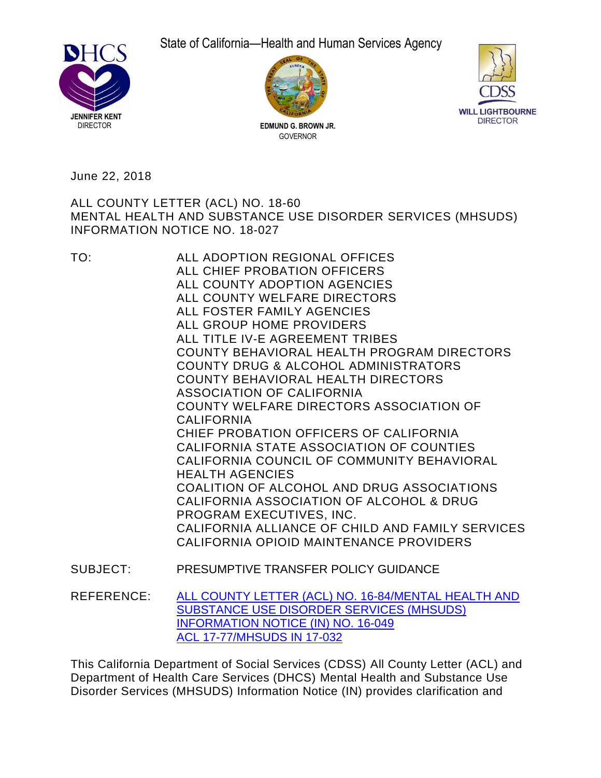State of California—Health and Human Services Agency







June 22, 2018

# MENTAL HEALTH AND SUBSTANCE USE DISORDER SERVICES (MHSUDS) INFORMATION NOTICE NO. 18-027 ALL COUNTY LETTER (ACL) NO. 18-60

 ALL CHIEF PROBATION OFFICERS ALL COUNTY ADOPTION AGENCIES ALL COUNTY WELFARE DIRECTORS ALL FOSTER FAMILY AGENCIES ALL GROUP HOME PROVIDERS ALL TITLE IV-E AGREEMENT TRIBES COUNTY BEHAVIORAL HEALTH PROGRAM DIRECTORS COUNTY DRUG & ALCOHOL ADMINISTRATORS COUNTY BEHAVIORAL HEALTH DIRECTORS COUNTY WELFARE DIRECTORS ASSOCIATION OF CHIEF PROBATION OFFICERS OF CALIFORNIA CALIFORNIA STATE ASSOCIATION OF COUNTIES CALIFORNIA COUNCIL OF COMMUNITY BEHAVIORAL COALITION OF ALCOHOL AND DRUG ASSOCIATIONS CALIFORNIA ASSOCIATION OF ALCOHOL & DRUG CALIFORNIA ALLIANCE OF CHILD AND FAMILY SERVICES CALIFORNIA OPIOID MAINTENANCE PROVIDERS TO: ALL ADOPTION REGIONAL OFFICES ASSOCIATION OF CALIFORNIA CALIFORNIA HEALTH AGENCIES PROGRAM EXECUTIVES, INC. SUBJECT: PRESUMPTIVE TRANSFER POLICY GUIDANCE

REFERENCE: [ALL COUNTY LETTER \(ACL\) NO. 16-84/MENTAL HEALTH AND](http://www.cdss.ca.gov/lettersnotices/EntRes/getinfo/acl/2016/16-84.pdf)  [SUBSTANCE USE DISORDER SERVICES \(MHSUDS\)](http://www.cdss.ca.gov/lettersnotices/EntRes/getinfo/acl/2016/16-84.pdf)  [INFORMATION NOTICE \(IN\) NO. 16-049](http://www.cdss.ca.gov/lettersnotices/EntRes/getinfo/acl/2016/16-84.pdf)  [ACL 17-77/MHSUDS IN 17-032](http://www.cdss.ca.gov/Portals/9/ACL/2017/17-77.pdf?ver=2017-07-17-110909-783) 

 This California Department of Social Services (CDSS) All County Letter (ACL) and Department of Health Care Services (DHCS) Mental Health and Substance Use Disorder Services (MHSUDS) Information Notice (IN) provides clarification and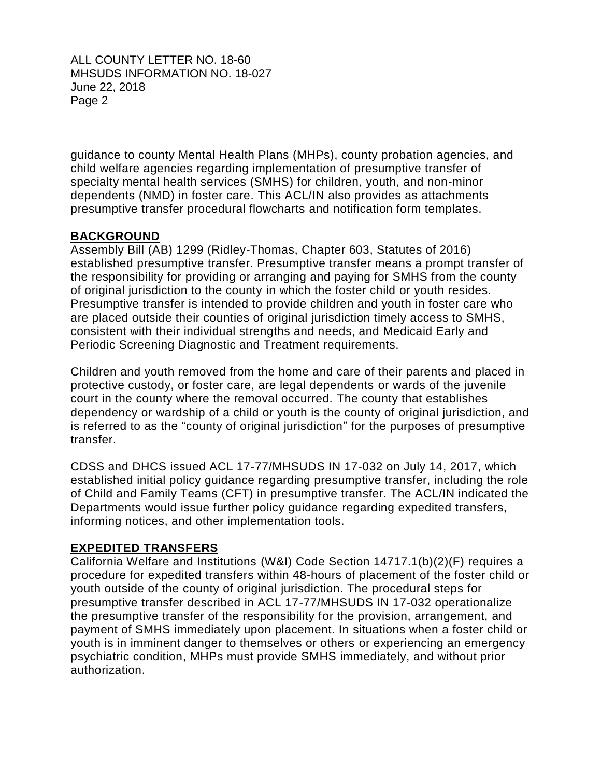guidance to county Mental Health Plans (MHPs), county probation agencies, and child welfare agencies regarding implementation of presumptive transfer of specialty mental health services (SMHS) for children, youth, and non-minor dependents (NMD) in foster care. This ACL/IN also provides as attachments presumptive transfer procedural flowcharts and notification form templates.

## **BACKGROUND**

 Assembly Bill (AB) 1299 (Ridley-Thomas, Chapter 603, Statutes of 2016) established presumptive transfer. Presumptive transfer means a prompt transfer of the responsibility for providing or arranging and paying for SMHS from the county of original jurisdiction to the county in which the foster child or youth resides. Presumptive transfer is intended to provide children and youth in foster care who are placed outside their counties of original jurisdiction timely access to SMHS, consistent with their individual strengths and needs, and Medicaid Early and Periodic Screening Diagnostic and Treatment requirements.

 Children and youth removed from the home and care of their parents and placed in protective custody, or foster care, are legal dependents or wards of the juvenile court in the county where the removal occurred. The county that establishes dependency or wardship of a child or youth is the county of original jurisdiction, and is referred to as the "county of original jurisdiction" for the purposes of presumptive transfer.

 CDSS and DHCS issued ACL 17-77/MHSUDS IN 17-032 on July 14, 2017, which established initial policy guidance regarding presumptive transfer, including the role of Child and Family Teams (CFT) in presumptive transfer. The ACL/IN indicated the Departments would issue further policy guidance regarding expedited transfers, informing notices, and other implementation tools.

### **EXPEDITED TRANSFERS**

 California Welfare and Institutions (W&I) Code Section 14717.1(b)(2)(F) requires a procedure for expedited transfers within 48-hours of placement of the foster child or youth outside of the county of original jurisdiction. The procedural steps for presumptive transfer described in ACL 17-77/MHSUDS IN 17-032 operationalize the presumptive transfer of the responsibility for the provision, arrangement, and payment of SMHS immediately upon placement. In situations when a foster child or youth is in imminent danger to themselves or others or experiencing an emergency psychiatric condition, MHPs must provide SMHS immediately, and without prior authorization.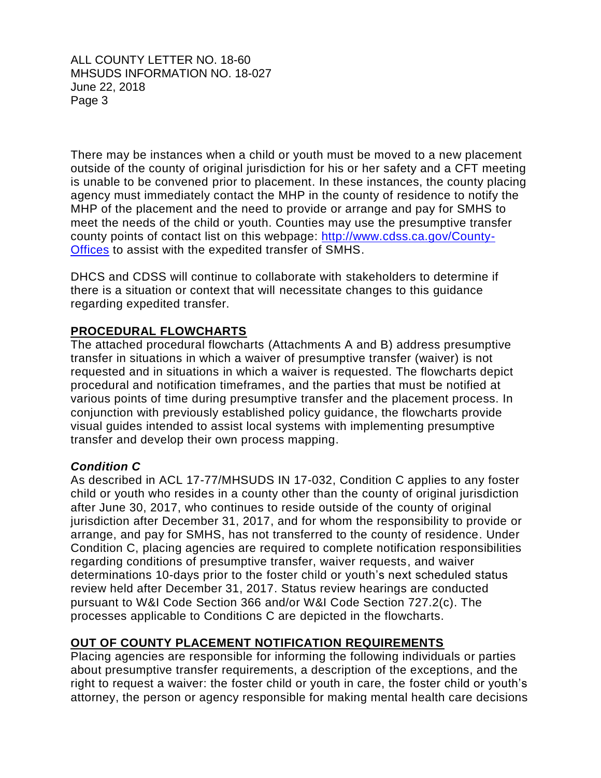There may be instances when a child or youth must be moved to a new placement outside of the county of original jurisdiction for his or her safety and a CFT meeting is unable to be convened prior to placement. In these instances, the county placing agency must immediately contact the MHP in the county of residence to notify the MHP of the placement and the need to provide or arrange and pay for SMHS to meet the needs of the child or youth. Counties may use the presumptive transfer county points of contact list on this webpage: [http://www.cdss.ca.gov/County-](http://www.cdss.ca.gov/County-Offices)[Offices](http://www.cdss.ca.gov/County-Offices) to assist with the expedited transfer of SMHS.

 DHCS and CDSS will continue to collaborate with stakeholders to determine if there is a situation or context that will necessitate changes to this guidance regarding expedited transfer.

# **PROCEDURAL FLOWCHARTS**

 The attached procedural flowcharts (Attachments A and B) address presumptive transfer in situations in which a waiver of presumptive transfer (waiver) is not requested and in situations in which a waiver is requested. The flowcharts depict procedural and notification timeframes, and the parties that must be notified at various points of time during presumptive transfer and the placement process. In conjunction with previously established policy guidance, the flowcharts provide visual guides intended to assist local systems with implementing presumptive transfer and develop their own process mapping.

### *Condition C*

 As described in ACL 17-77/MHSUDS IN 17-032, Condition C applies to any foster child or youth who resides in a county other than the county of original jurisdiction after June 30, 2017, who continues to reside outside of the county of original jurisdiction after December 31, 2017, and for whom the responsibility to provide or arrange, and pay for SMHS, has not transferred to the county of residence. Under Condition C, placing agencies are required to complete notification responsibilities regarding conditions of presumptive transfer, waiver requests, and waiver determinations 10-days prior to the foster child or youth's next scheduled status review held after December 31, 2017. Status review hearings are conducted pursuant to W&I Code Section 366 and/or W&I Code Section 727.2(c). The processes applicable to Conditions C are depicted in the flowcharts.

# **OUT OF COUNTY PLACEMENT NOTIFICATION REQUIREMENTS**

 Placing agencies are responsible for informing the following individuals or parties about presumptive transfer requirements, a description of the exceptions, and the right to request a waiver: the foster child or youth in care, the foster child or youth's attorney, the person or agency responsible for making mental health care decisions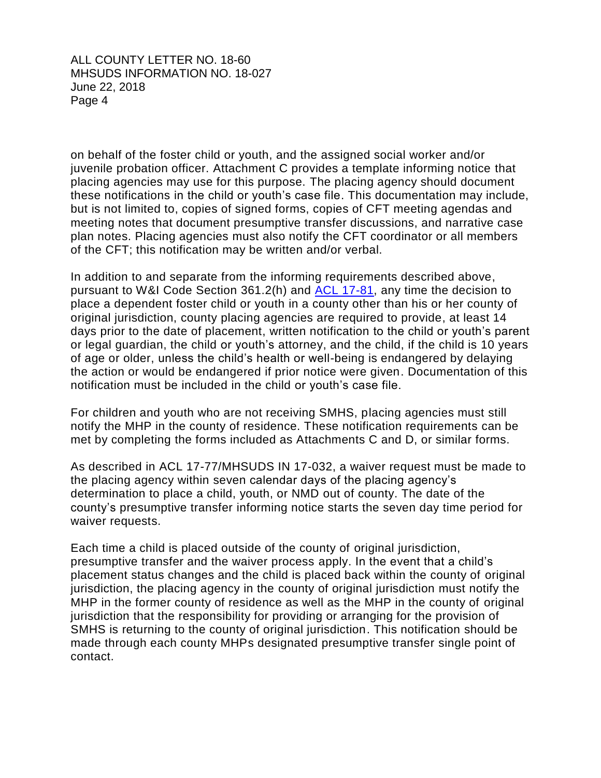on behalf of the foster child or youth, and the assigned social worker and/or juvenile probation officer. Attachment C provides a template informing notice that placing agencies may use for this purpose. The placing agency should document these notifications in the child or youth's case file. This documentation may include, but is not limited to, copies of signed forms, copies of CFT meeting agendas and meeting notes that document presumptive transfer discussions, and narrative case plan notes. Placing agencies must also notify the CFT coordinator or all members of the CFT; this notification may be written and/or verbal.

 In addition to and separate from the informing requirements described above, pursuant to W&I Code Section 361.2(h) and [ACL 17-81,](http://www.cdss.ca.gov/Portals/9/ACL/2017/17-81.pdf?ver=2017-08-07-140504-443) any time the decision to place a dependent foster child or youth in a county other than his or her county of original jurisdiction, county placing agencies are required to provide, at least 14 days prior to the date of placement, written notification to the child or youth's parent or legal guardian, the child or youth's attorney, and the child, if the child is 10 years of age or older, unless the child's health or well-being is endangered by delaying the action or would be endangered if prior notice were given. Documentation of this notification must be included in the child or youth's case file.

 For children and youth who are not receiving SMHS, placing agencies must still notify the MHP in the county of residence. These notification requirements can be met by completing the forms included as Attachments C and D, or similar forms.

 As described in ACL 17-77/MHSUDS IN 17-032, a waiver request must be made to the placing agency within seven calendar days of the placing agency's determination to place a child, youth, or NMD out of county. The date of the county's presumptive transfer informing notice starts the seven day time period for waiver requests.

 Each time a child is placed outside of the county of original jurisdiction, presumptive transfer and the waiver process apply. In the event that a child's placement status changes and the child is placed back within the county of original jurisdiction, the placing agency in the county of original jurisdiction must notify the MHP in the former county of residence as well as the MHP in the county of original jurisdiction that the responsibility for providing or arranging for the provision of SMHS is returning to the county of original jurisdiction. This notification should be made through each county MHPs designated presumptive transfer single point of contact.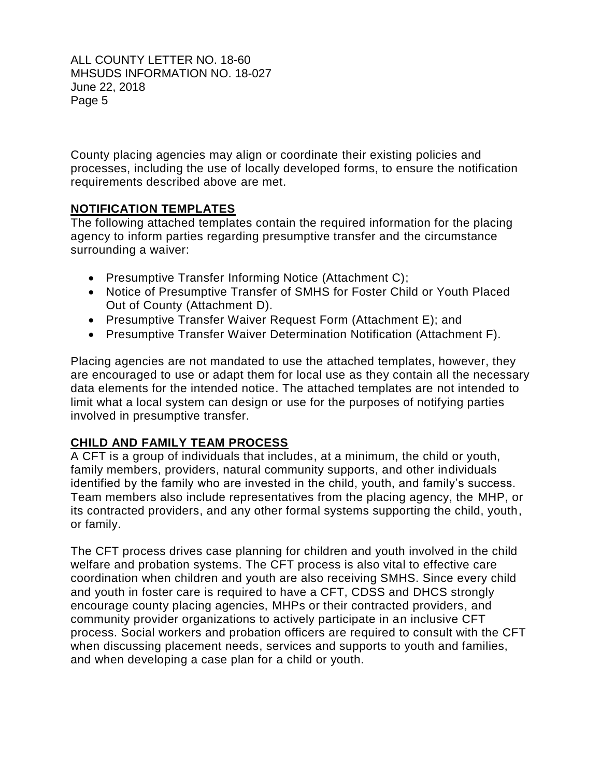County placing agencies may align or coordinate their existing policies and processes, including the use of locally developed forms, to ensure the notification requirements described above are met.

## **NOTIFICATION TEMPLATES**

 The following attached templates contain the required information for the placing agency to inform parties regarding presumptive transfer and the circumstance surrounding a waiver:

- Presumptive Transfer Informing Notice (Attachment C);
- Notice of Presumptive Transfer of SMHS for Foster Child or Youth Placed Out of County (Attachment D).
- Presumptive Transfer Waiver Request Form (Attachment E); and
- Presumptive Transfer Waiver Determination Notification (Attachment F).

 Placing agencies are not mandated to use the attached templates, however, they are encouraged to use or adapt them for local use as they contain all the necessary data elements for the intended notice. The attached templates are not intended to limit what a local system can design or use for the purposes of notifying parties involved in presumptive transfer.

# **CHILD AND FAMILY TEAM PROCESS**

 A CFT is a group of individuals that includes, at a minimum, the child or youth, family members, providers, natural community supports, and other individuals identified by the family who are invested in the child, youth, and family's success. Team members also include representatives from the placing agency, the MHP, or its contracted providers, and any other formal systems supporting the child, youth, or family.

 The CFT process drives case planning for children and youth involved in the child welfare and probation systems. The CFT process is also vital to effective care coordination when children and youth are also receiving SMHS. Since every child and youth in foster care is required to have a CFT, CDSS and DHCS strongly encourage county placing agencies, MHPs or their contracted providers, and community provider organizations to actively participate in an inclusive CFT process. Social workers and probation officers are required to consult with the CFT when discussing placement needs, services and supports to youth and families, and when developing a case plan for a child or youth.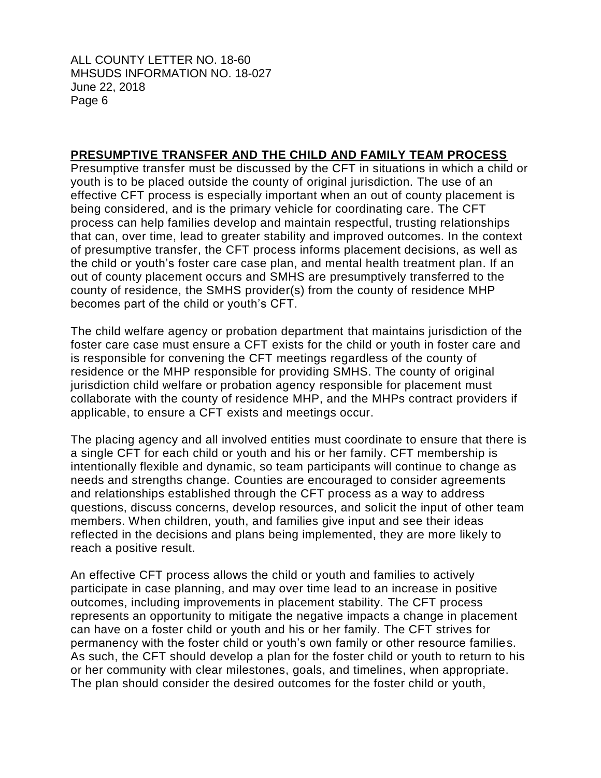#### **PRESUMPTIVE TRANSFER AND THE CHILD AND FAMILY TEAM PROCESS**

 Presumptive transfer must be discussed by the CFT in situations in which a child or youth is to be placed outside the county of original jurisdiction. The use of an effective CFT process is especially important when an out of county placement is being considered, and is the primary vehicle for coordinating care. The CFT process can help families develop and maintain respectful, trusting relationships that can, over time, lead to greater stability and improved outcomes. In the context of presumptive transfer, the CFT process informs placement decisions, as well as the child or youth's foster care case plan, and mental health treatment plan. If an out of county placement occurs and SMHS are presumptively transferred to the county of residence, the SMHS provider(s) from the county of residence MHP becomes part of the child or youth's CFT.

 The child welfare agency or probation department that maintains jurisdiction of the foster care case must ensure a CFT exists for the child or youth in foster care and is responsible for convening the CFT meetings regardless of the county of residence or the MHP responsible for providing SMHS. The county of original jurisdiction child welfare or probation agency responsible for placement must collaborate with the county of residence MHP, and the MHPs contract providers if applicable, to ensure a CFT exists and meetings occur.

 The placing agency and all involved entities must coordinate to ensure that there is a single CFT for each child or youth and his or her family. CFT membership is intentionally flexible and dynamic, so team participants will continue to change as needs and strengths change. Counties are encouraged to consider agreements and relationships established through the CFT process as a way to address questions, discuss concerns, develop resources, and solicit the input of other team members. When children, youth, and families give input and see their ideas reflected in the decisions and plans being implemented, they are more likely to reach a positive result.

 An effective CFT process allows the child or youth and families to actively participate in case planning, and may over time lead to an increase in positive outcomes, including improvements in placement stability. The CFT process represents an opportunity to mitigate the negative impacts a change in placement can have on a foster child or youth and his or her family. The CFT strives for permanency with the foster child or youth's own family or other resource families. As such, the CFT should develop a plan for the foster child or youth to return to his or her community with clear milestones, goals, and timelines, when appropriate. The plan should consider the desired outcomes for the foster child or youth,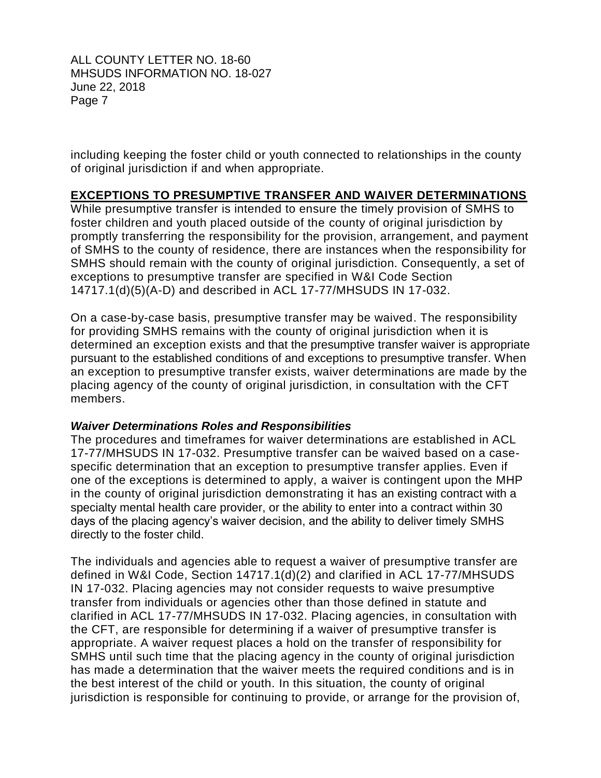including keeping the foster child or youth connected to relationships in the county of original jurisdiction if and when appropriate.

#### **EXCEPTIONS TO PRESUMPTIVE TRANSFER AND WAIVER DETERMINATIONS**

 While presumptive transfer is intended to ensure the timely provision of SMHS to foster children and youth placed outside of the county of original jurisdiction by promptly transferring the responsibility for the provision, arrangement, and payment of SMHS to the county of residence, there are instances when the responsibility for SMHS should remain with the county of original jurisdiction. Consequently, a set of exceptions to presumptive transfer are specified in [W&I Code Section](https://leginfo.legislature.ca.gov/faces/codes_displaySection.xhtml?lawCode=WIC§ionNum=14717.1.)  [14717.1\(d\)\(5\)\(A-D\)](https://leginfo.legislature.ca.gov/faces/codes_displaySection.xhtml?lawCode=WIC§ionNum=14717.1.) and described in ACL 17-77/MHSUDS IN 17-032.

 On a case-by-case basis, presumptive transfer may be waived. The responsibility for providing SMHS remains with the county of original jurisdiction when it is determined an exception exists and that the presumptive transfer waiver is appropriate an exception to presumptive transfer exists, waiver determinations are made by the placing agency of the county of original jurisdiction, in consultation with the CFT pursuant to the established conditions of and exceptions to presumptive transfer. When members.

#### *Waiver Determinations Roles and Responsibilities*

 The procedures and timeframes for waiver determinations are established in ACL 17-77/MHSUDS IN 17-032. Presumptive transfer can be waived based on a case- specific determination that an exception to presumptive transfer applies. Even if one of the exceptions is determined to apply, a waiver is contingent upon the MHP in the county of original jurisdiction demonstrating it has an existing contract with a specialty mental health care provider, or the ability to enter into a contract within 30 days of the placing agency's waiver decision, and the ability to deliver timely SMHS directly to the foster child.

 The individuals and agencies able to request a waiver of presumptive transfer are defined in [W&I Code, Section 14717.1\(d\)\(2\)](https://leginfo.legislature.ca.gov/faces/codes_displaySection.xhtml?sectionNum=14717.1.&lawCode=WIC) and clarified in [ACL 17-77/MHSUDS](http://www.cdss.ca.gov/Portals/9/ACL/2017/17-77.pdf?ver=2017-07-17-110909-783)  [IN 17-032.](http://www.cdss.ca.gov/Portals/9/ACL/2017/17-77.pdf?ver=2017-07-17-110909-783) Placing agencies may not consider requests to waive presumptive transfer from individuals or agencies other than those defined in statute and clarified in ACL 17-77/MHSUDS IN 17-032. Placing agencies, in consultation with the CFT, are responsible for determining if a waiver of presumptive transfer is appropriate. A waiver request places a hold on the transfer of responsibility for SMHS until such time that the placing agency in the county of original jurisdiction has made a determination that the waiver meets the required conditions and is in the best interest of the child or youth. In this situation, the county of original jurisdiction is responsible for continuing to provide, or arrange for the provision of,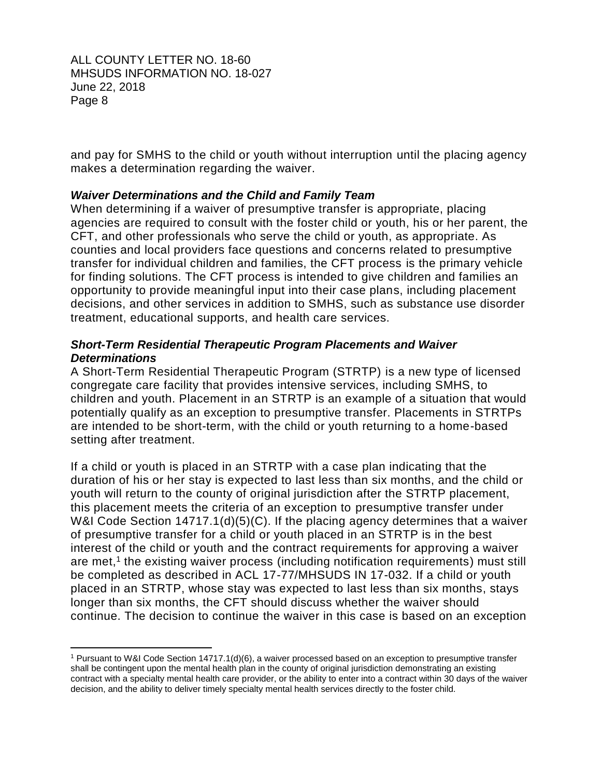$\overline{a}$ 

 and pay for SMHS to the child or youth without interruption until the placing agency makes a determination regarding the waiver.

### *Waiver Determinations and the Child and Family Team*

 When determining if a waiver of presumptive transfer is appropriate, placing agencies are required to consult with the foster child or youth, his or her parent, the CFT, and other professionals who serve the child or youth, as appropriate. As counties and local providers face questions and concerns related to presumptive transfer for individual children and families, the CFT process is the primary vehicle for finding solutions. The CFT process is intended to give children and families an opportunity to provide meaningful input into their case plans, including placement decisions, and other services in addition to SMHS, such as substance use disorder treatment, educational supports, and health care services.

#### *Short-Term Residential Therapeutic Program Placements and Waiver Determinations*

 A Short-Term Residential Therapeutic Program (STRTP) is a new type of licensed congregate care facility that provides intensive services, including SMHS, to children and youth. Placement in an STRTP is an example of a situation that would potentially qualify as an exception to presumptive transfer. Placements in STRTPs are intended to be short-term, with the child or youth returning to a home-based setting after treatment.

 If a child or youth is placed in an STRTP with a case plan indicating that the duration of his or her stay is expected to last less than six months, and the child or youth will return to the county of original jurisdiction after the STRTP placement, this placement meets the criteria of an exception to presumptive transfer under W&I Code Section 14717.1(d)(5)(C). If the placing agency determines that a waiver of presumptive transfer for a child or youth placed in an STRTP is in the best interest of the child or youth and the contract requirements for approving a waiver are met, 1 the existing waiver process (including notification requirements) must still be completed as described in ACL 17-77/MHSUDS IN 17-032. If a child or youth placed in an STRTP, whose stay was expected to last less than six months, stays longer than six months, the CFT should discuss whether the waiver should continue. The decision to continue the waiver in this case is based on an exception

 shall be contingent upon the mental health plan in the county of original jurisdiction demonstrating an existing decision, and the ability to deliver timely specialty mental health services directly to the foster child. 1 Pursuant to W&I Code Section 14717.1(d)(6), a waiver processed based on an exception to presumptive transfer contract with a specialty mental health care provider, or the ability to enter into a contract within 30 days of the waiver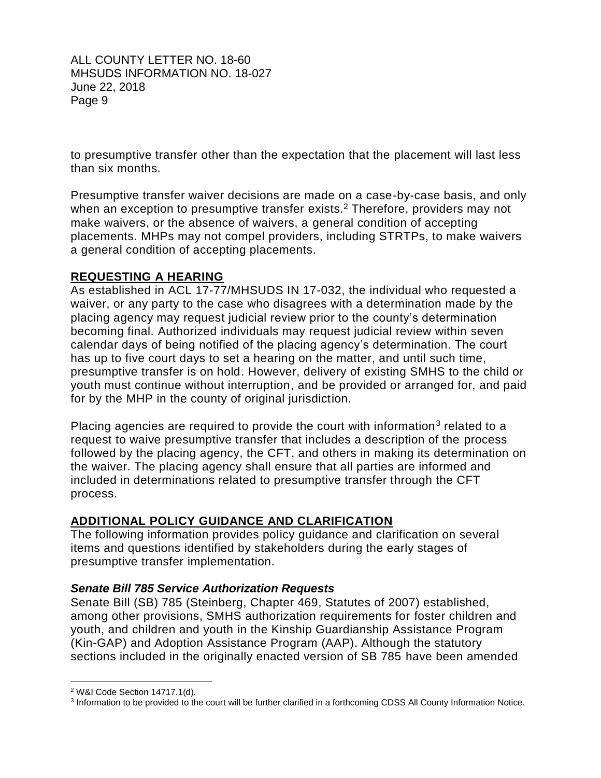to presumptive transfer other than the expectation that the placement will last less than six months.

 Presumptive transfer waiver decisions are made on a case-by-case basis, and only when an exception to presumptive transfer exists.<sup>2</sup> Therefore, providers may not make waivers, or the absence of waivers, a general condition of accepting placements. MHPs may not compel providers, including STRTPs, to make waivers a general condition of accepting placements.

### **REQUESTING A HEARING**

 As established in [ACL 17-77/MHSUDS IN 17-032,](http://www.cdss.ca.gov/Portals/9/ACL/2017/17-77.pdf?ver=2017-07-17-110909-783) the individual who requested a waiver, or any party to the case who disagrees with a determination made by the placing agency may request judicial review prior to the county's determination becoming final. Authorized individuals may request judicial review within seven calendar days of being notified of the placing agency's determination. The court has up to five court days to set a hearing on the matter, and until such time, presumptive transfer is on hold. However, delivery of existing SMHS to the child or youth must continue without interruption, and be provided or arranged for, and paid for by the MHP in the county of original jurisdiction.

Placing agencies are required to provide the court with information<sup>3</sup> related to a request to waive presumptive transfer that includes a description of the process followed by the placing agency, the CFT, and others in making its determination on the waiver. The placing agency shall ensure that all parties are informed and included in determinations related to presumptive transfer through the CFT process.

### **ADDITIONAL POLICY GUIDANCE AND CLARIFICATION**

 The following information provides policy guidance and clarification on several items and questions identified by stakeholders during the early stages of presumptive transfer implementation.

### *Senate Bill 785 Service Authorization Requests*

 Senate Bill (SB) 785 (Steinberg, Chapter 469, Statutes of 2007) established, among other provisions, SMHS authorization requirements for foster children and youth, and children and youth in the Kinship Guardianship Assistance Program (Kin-GAP) and Adoption Assistance Program (AAP). Although the statutory sections included in the originally enacted version of SB 785 have been amended

 $\overline{a}$ 

<sup>2</sup> W&I Code Section 14717.1(d).

<sup>&</sup>lt;sup>3</sup> Information to be provided to the court will be further clarified in a forthcoming CDSS All County Information Notice.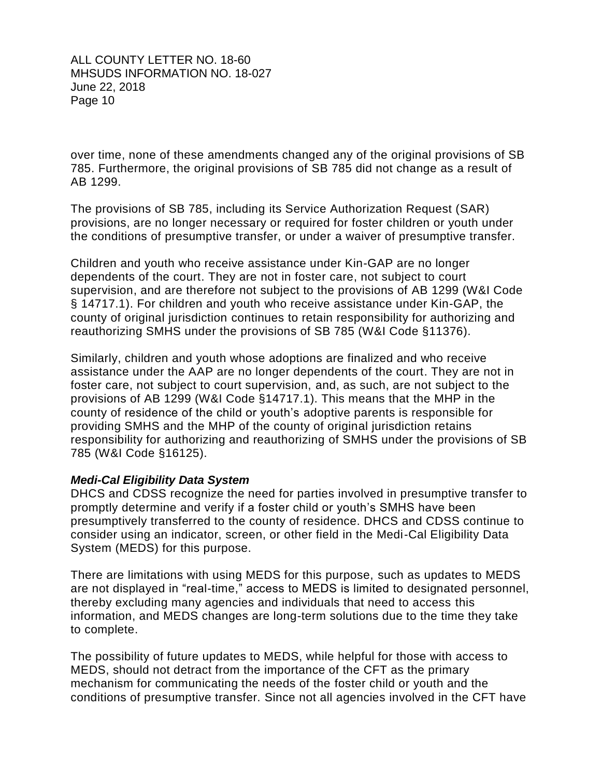over time, none of these amendments changed any of the original provisions of SB 785. Furthermore, the original provisions of SB 785 did not change as a result of AB 1299.

 The provisions of SB 785, including its Service Authorization Request (SAR) provisions, are no longer necessary or required for foster children or youth under the conditions of presumptive transfer, or under a waiver of presumptive transfer.

 Children and youth who receive assistance under Kin-GAP are no longer dependents of the court. They are not in foster care, not subject to court supervision, and are therefore not subject to the provisions of AB 1299 (W&I Code § 14717.1). For children and youth who receive assistance under Kin-GAP, the county of original jurisdiction continues to retain responsibility for authorizing and reauthorizing SMHS under the provisions of SB 785 (W&I Code §11376).

 Similarly, children and youth whose adoptions are finalized and who receive assistance under the AAP are no longer dependents of the court. They are not in foster care, not subject to court supervision, and, as such, are not subject to the provisions of AB 1299 (W&I Code §14717.1). This means that the MHP in the county of residence of the child or youth's adoptive parents is responsible for providing SMHS and the MHP of the county of original jurisdiction retains responsibility for authorizing and reauthorizing of SMHS under the provisions of SB 785 (W&I Code §16125).

#### *Medi-Cal Eligibility Data System*

 DHCS and CDSS recognize the need for parties involved in presumptive transfer to promptly determine and verify if a foster child or youth's SMHS have been presumptively transferred to the county of residence. DHCS and CDSS continue to consider using an indicator, screen, or other field in the Medi-Cal Eligibility Data System (MEDS) for this purpose.

 There are limitations with using MEDS for this purpose, such as updates to MEDS are not displayed in "real-time," access to MEDS is limited to designated personnel, thereby excluding many agencies and individuals that need to access this information, and MEDS changes are long-term solutions due to the time they take to complete.

 The possibility of future updates to MEDS, while helpful for those with access to MEDS, should not detract from the importance of the CFT as the primary mechanism for communicating the needs of the foster child or youth and the conditions of presumptive transfer. Since not all agencies involved in the CFT have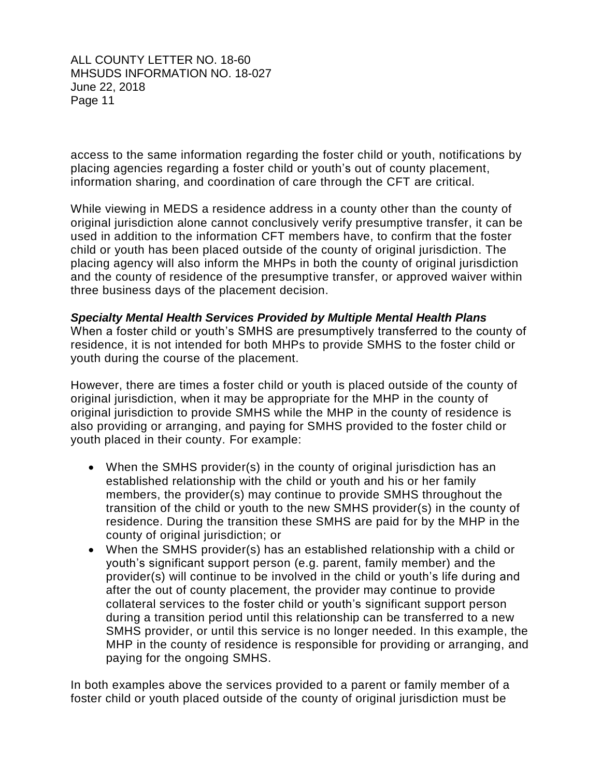access to the same information regarding the foster child or youth, notifications by placing agencies regarding a foster child or youth's out of county placement, information sharing, and coordination of care through the CFT are critical.

 While viewing in MEDS a residence address in a county other than the county of original jurisdiction alone cannot conclusively verify presumptive transfer, it can be used in addition to the information CFT members have, to confirm that the foster child or youth has been placed outside of the county of original jurisdiction. The placing agency will also inform the MHPs in both the county of original jurisdiction and the county of residence of the presumptive transfer, or approved waiver within three business days of the placement decision.

#### *Specialty Mental Health Services Provided by Multiple Mental Health Plans*

 When a foster child or youth's SMHS are presumptively transferred to the county of residence, it is not intended for both MHPs to provide SMHS to the foster child or youth during the course of the placement.

 However, there are times a foster child or youth is placed outside of the county of original jurisdiction, when it may be appropriate for the MHP in the county of original jurisdiction to provide SMHS while the MHP in the county of residence is also providing or arranging, and paying for SMHS provided to the foster child or youth placed in their county. For example:

- When the SMHS provider(s) in the county of original jurisdiction has an established relationship with the child or youth and his or her family members, the provider(s) may continue to provide SMHS throughout the transition of the child or youth to the new SMHS provider(s) in the county of residence. During the transition these SMHS are paid for by the MHP in the county of original jurisdiction; or
- When the SMHS provider(s) has an established relationship with a child or youth's significant support person (e.g. parent, family member) and the provider(s) will continue to be involved in the child or youth's life during and after the out of county placement, the provider may continue to provide collateral services to the foster child or youth's significant support person during a transition period until this relationship can be transferred to a new SMHS provider, or until this service is no longer needed. In this example, the MHP in the county of residence is responsible for providing or arranging, and paying for the ongoing SMHS.

 In both examples above the services provided to a parent or family member of a foster child or youth placed outside of the county of original jurisdiction must be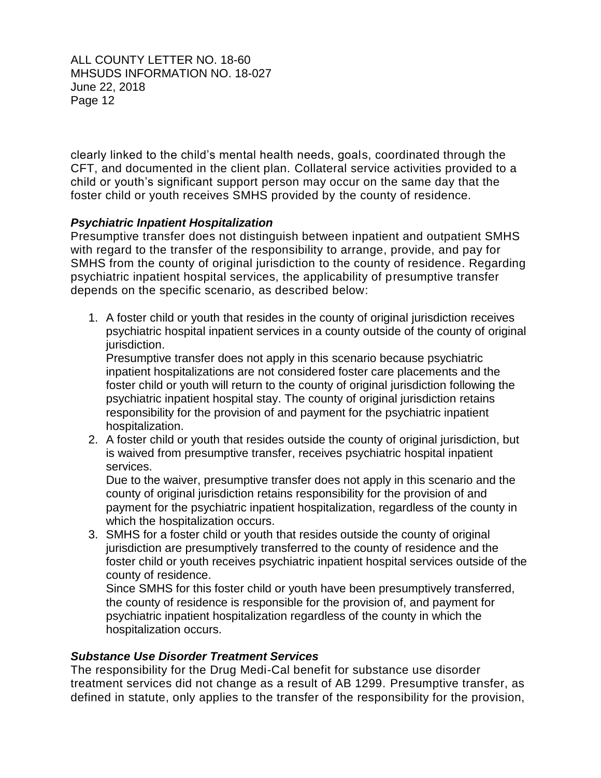clearly linked to the child's mental health needs, goals, coordinated through the CFT, and documented in the client plan. Collateral service activities provided to a child or youth's significant support person may occur on the same day that the foster child or youth receives SMHS provided by the county of residence.

## *Psychiatric Inpatient Hospitalization*

 Presumptive transfer does not distinguish between inpatient and outpatient SMHS with regard to the transfer of the responsibility to arrange, provide, and pay for SMHS from the county of original jurisdiction to the county of residence. Regarding psychiatric inpatient hospital services, the applicability of presumptive transfer depends on the specific scenario, as described below:

 1. A foster child or youth that resides in the county of original jurisdiction receives psychiatric hospital inpatient services in a county outside of the county of original jurisdiction.

 inpatient hospitalizations are not considered foster care placements and the Presumptive transfer does not apply in this scenario because psychiatric foster child or youth will return to the county of original jurisdiction following the psychiatric inpatient hospital stay. The county of original jurisdiction retains responsibility for the provision of and payment for the psychiatric inpatient hospitalization.

 2. A foster child or youth that resides outside the county of original jurisdiction, but is waived from presumptive transfer, receives psychiatric hospital inpatient services.

 Due to the waiver, presumptive transfer does not apply in this scenario and the county of original jurisdiction retains responsibility for the provision of and payment for the psychiatric inpatient hospitalization, regardless of the county in which the hospitalization occurs.

 jurisdiction are presumptively transferred to the county of residence and the 3. SMHS for a foster child or youth that resides outside the county of original foster child or youth receives psychiatric inpatient hospital services outside of the county of residence.

 the county of residence is responsible for the provision of, and payment for Since SMHS for this foster child or youth have been presumptively transferred, psychiatric inpatient hospitalization regardless of the county in which the hospitalization occurs.

### *Substance Use Disorder Treatment Services*

 The responsibility for the Drug Medi-Cal benefit for substance use disorder treatment services did not change as a result of AB 1299. Presumptive transfer, as defined in statute, only applies to the transfer of the responsibility for the provision,